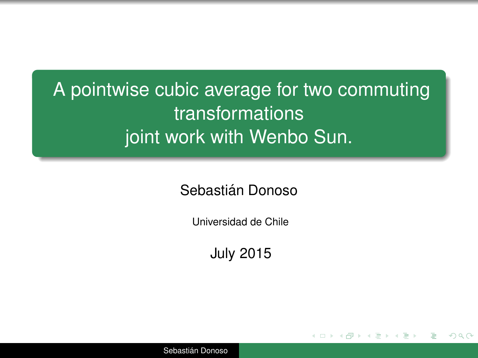A pointwise cubic average for two commuting transformations joint work with Wenbo Sun.

Sebastián Donoso

Universidad de Chile

July 2015

<span id="page-0-0"></span> $2Q$ 

Sebastián Donoso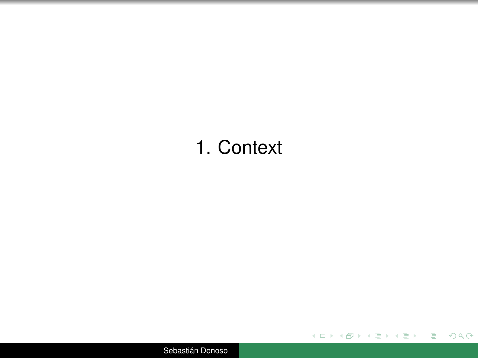# 1. Context

K ロ ▶ K 個 ▶ K ミ ▶ K ミ ▶ │ ミ │ の Q Q Q

Sebastián Donoso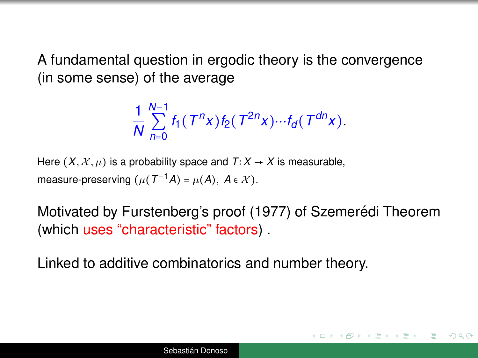A fundamental question in ergodic theory is the convergence (in some sense) of the average

$$
\frac{1}{N}\sum_{n=0}^{N-1}f_1(T^n x)f_2(T^{2n} x)\cdots f_d(T^{dn} x).
$$

Here  $(X, \mathcal{X}, \mu)$  is a probability space and  $T: X \to X$  is measurable, measure-preserving  $(\mu(T^{-1}A) = \mu(A), A \in \mathcal{X}).$ 

Motivated by Furstenberg's proof (1977) of Szemerédi Theorem (which uses "characteristic" factors) .

 $\Omega$ 

Linked to additive combinatorics and number theory.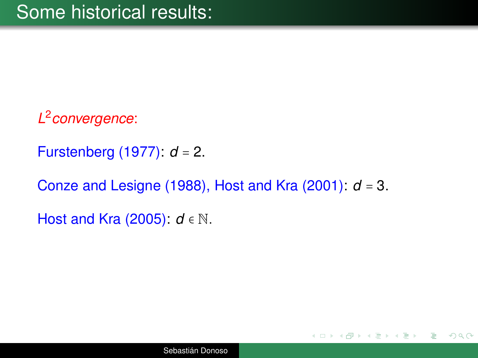*L* 2 *convergence*:

Furstenberg (1977): *d* = 2.

Conze and Lesigne (1988), Host and Kra (2001): *d* = 3.

Host and Kra (2005): *d* ∈ N.

 $QQ$ 

∢ 何 ▶ ( ( ヨ ) ( ( ヨ ) }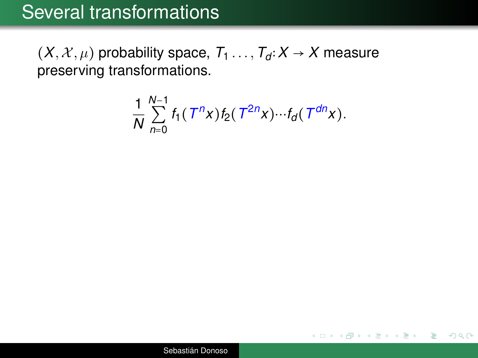$(X, X, \mu)$  probability space,  $T_1$ ...,  $T_d$  ∶ $X$  →  $X$  measure preserving transformations.

$$
\frac{1}{N}\sum_{n=0}^{N-1}f_1(T^n x)f_2(T^{2n}x)\cdots f_d(T^{dn}x).
$$

ミー

 $2Q$ 

イロメイ部 メイ君メイ君メー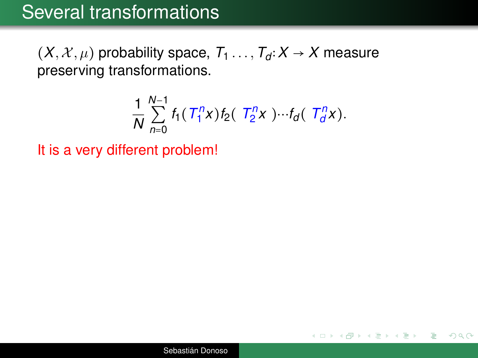$(X, X, \mu)$  probability space,  $T_1$ ...,  $T_d$  ∶ $X$  →  $X$  measure preserving transformations.

$$
\frac{1}{N}\sum_{n=0}^{N-1}f_1(T_1^n x)f_2(T_2^n x)\cdots f_d(T_d^n x).
$$

 $2Q$ 

э

K ロ ▶ K 御 ▶ K ヨ ▶ K ヨ ▶

It is a very different problem!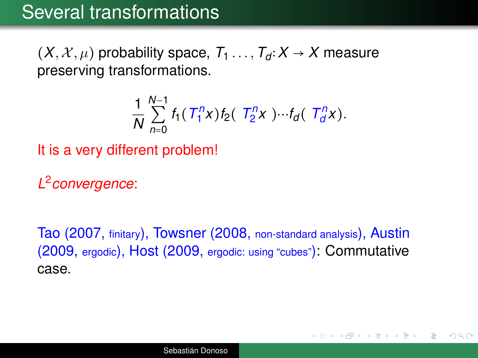$(X, \mathcal{X}, \mu)$  probability space,  $T_1, \ldots, T_d$ :  $X \rightarrow X$  measure preserving transformations.

$$
\frac{1}{N}\sum_{n=0}^{N-1}f_1(T_1^n x)f_2(T_2^n x)\cdots f_d(T_d^n x).
$$

It is a very different problem!

*L* 2 *convergence*:

Tao (2007, finitary), Towsner (2008, non-standard analysis), Austin (2009, ergodic), Host (2009, ergodic: using "cubes"): Commutative case.

イロメ イ押 メイミメイミメー

 $QQ$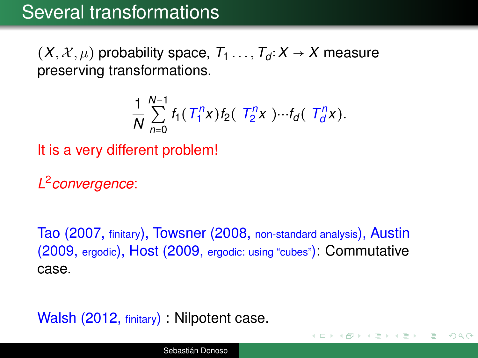$(X, \mathcal{X}, \mu)$  probability space,  $T_1 \ldots, T_d : X \to X$  measure preserving transformations.

$$
\frac{1}{N}\sum_{n=0}^{N-1}f_1(T_1^n x)f_2(T_2^n x)\cdots f_d(T_d^n x).
$$

It is a very different problem!

*L* 2 *convergence*:

Tao (2007, finitary), Towsner (2008, non-standard analysis), Austin (2009, ergodic), Host (2009, ergodic: using "cubes"): Commutative case.

イロメ イ押 メイミメイミメ

 $QQQ$ 

Walsh (2012, finitary) : Nilpotent case.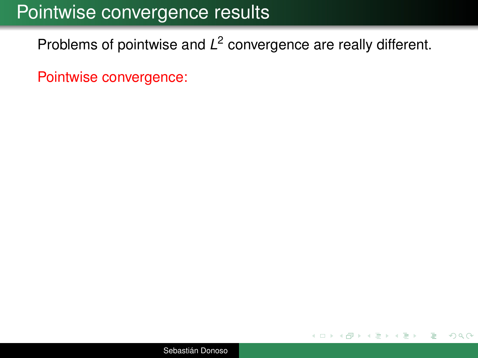## Pointwise convergence results

Problems of pointwise and *L* 2 convergence are really different.

Pointwise convergence:

 $299$ 

ミトイ 重き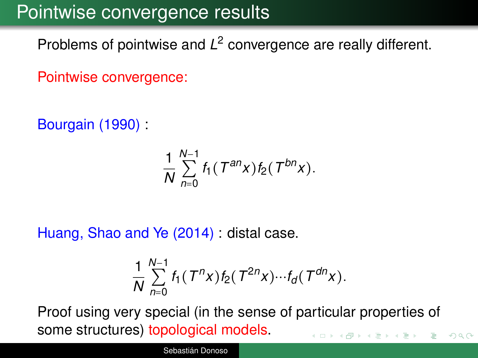## Pointwise convergence results

Problems of pointwise and *L* 2 convergence are really different.

Pointwise convergence:

Bourgain (1990) :

$$
\frac{1}{N}\sum_{n=0}^{N-1}f_1(T^{an}x)f_2(T^{bn}x).
$$

Huang, Shao and Ye (2014) : distal case.

$$
\frac{1}{N}\sum_{n=0}^{N-1}f_1(T^n x)f_2(T^{2n} x)\cdots f_d(T^{dn} x).
$$

Proof using very special (in the sense of particular properties of some structures) topological models.  $299$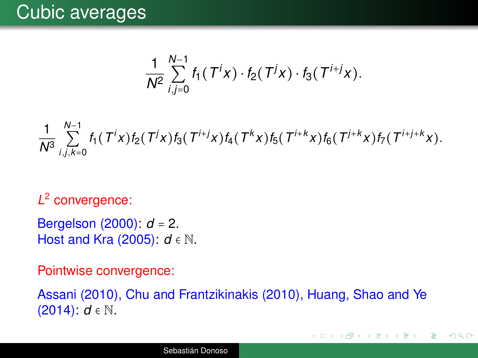$$
\frac{1}{N^2}\sum_{i,j=0}^{N-1} f_1(T^ix)\cdot f_2(T^jx)\cdot f_3(T^{i+j}x).
$$

1 *N*<sup>3</sup> *N*−1 ∑ *i*,*j*,*k*=0  $f_1(T^ix)f_2(T^ix)f_3(T^{i+j}x)f_4(T^kx)f_5(T^{i+k}x)f_6(T^{i+k}x)f_7(T^{i+j+k}x).$ 

*L* 2 convergence:

Bergelson (2000): *d* = 2. Host and Kra (2005): *d* ∈ N.

Pointwise convergence:

Assani (2010), Chu and Frantzikinakis (2010), Huang, Shao and Ye (2014): *d* ∈ N.

K ロ ▶ K 御 ▶ K ヨ ▶ K ヨ ▶ ...

 $QQQ$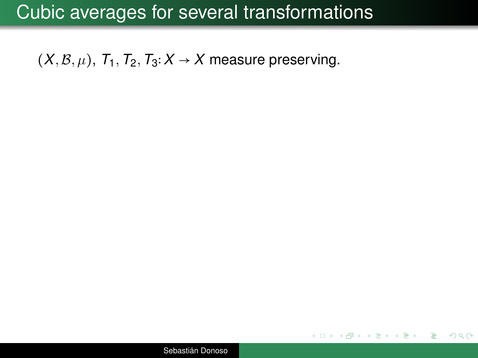### Cubic averages for several transformations

<span id="page-11-1"></span><span id="page-11-0"></span> $(X, \mathcal{B}, \mu)$ ,  $T_1, T_2, T_3: X \rightarrow X$  measure preserving.

イロメイ部 メイ君メイ君メー  $\equiv$   $\Omega$ 

Sebastián Donoso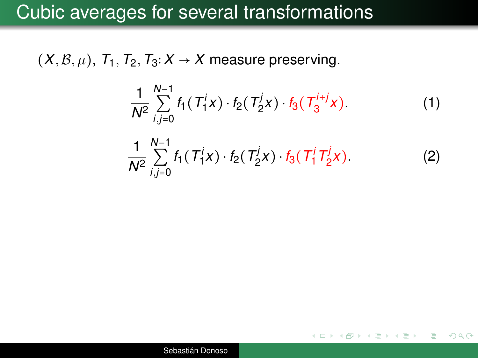### Cubic averages for several transformations

 $(X, \mathcal{B}, \mu)$ ,  $T_1, T_2, T_3: X \rightarrow X$  measure preserving.

$$
\frac{1}{N^2} \sum_{i,j=0}^{N-1} f_1(T_1^j x) \cdot f_2(T_2^j x) \cdot f_3(T_3^{i+j} x). \tag{1}
$$

$$
\frac{1}{N^2} \sum_{i,j=0}^{N-1} f_1(T_1^j x) \cdot f_2(T_2^j x) \cdot f_3(T_1^j T_2^j x). \tag{2}
$$

イロメイ部 メイ君メイ君メー

 $\equiv$   $\Omega$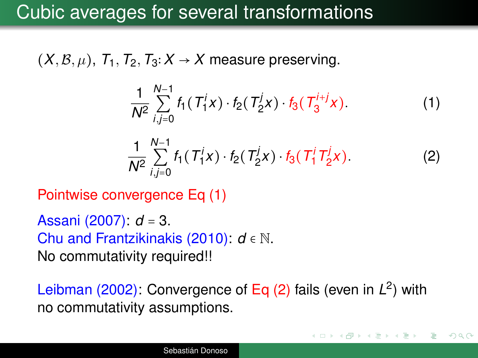## Cubic averages for several transformations

 $(X, \mathcal{B}, \mu)$ ,  $T_1, T_2, T_3: X \rightarrow X$  measure preserving.

$$
\frac{1}{N^2} \sum_{i,j=0}^{N-1} f_1(T_1^j x) \cdot f_2(T_2^j x) \cdot f_3(T_3^{i+j} x). \tag{1}
$$

$$
\frac{1}{N^2} \sum_{i,j=0}^{N-1} f_1(T_1^j x) \cdot f_2(T_2^j x) \cdot f_3(T_1^j T_2^j x). \tag{2}
$$

イロトメ 御 メメ 老 メス 老 メーモ

 $QQQ$ 

Pointwise convergence Eq [\(1\)](#page-11-0)

Assani (2007): *d* = 3. Chu and Frantzikinakis (2010): *d* ∈ N. No commutativity required!!

Leibman (2002): Convergence of Eq [\(2\)](#page-11-1) fails (even in L<sup>2</sup>) with no commutativity assumptions.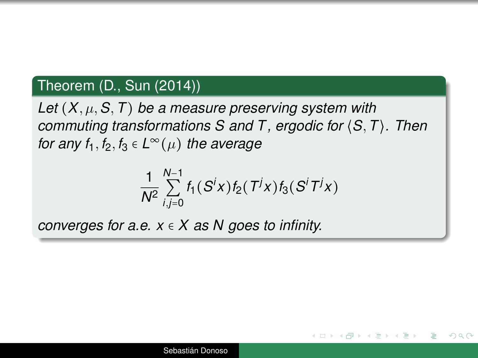### Theorem (D., Sun (2014))

*Let* (*X*, µ,*S*,*T*) *be a measure preserving system with commuting transformations S and T , ergodic for* ⟨*S*,*T*⟩*. Then for any f*<sub>1</sub>, *f*<sub>2</sub>, *f*<sub>3</sub>  $\in$  *L* $^{\infty}(\mu)$  *the average* 

$$
\frac{1}{N^2}\sum_{i,j=0}^{N-1}f_1(S^ix)f_2(T^jx)f_3(S^iT^jx)
$$

◆ロ→ → 個→ → 君→ → 君→ → 君→

 $\Omega$ 

*converges for a.e. x* ∈ *X as N goes to infinity.*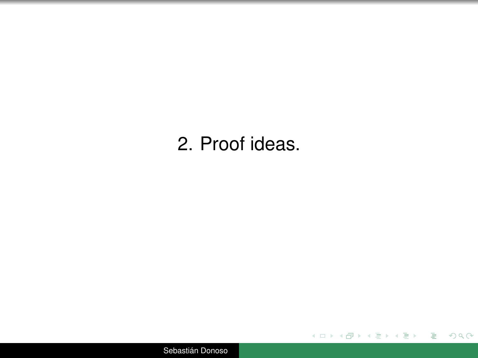## 2. Proof ideas.

イロト イ団 トイミト イミト・ミニ りなぐ

Sebastián Donoso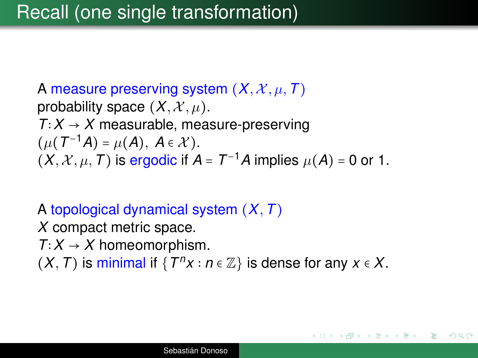A measure preserving system  $(X, \mathcal{X}, \mu, \mathcal{T})$ probability space  $(X, \mathcal{X}, \mu)$ .  $T$ ∶  $X \rightarrow X$  measurable, measure-preserving  $(\mu(T^{-1}A) = \mu(A), A \in \mathcal{X}).$  $(X, X, \mu, T)$  is ergodic if  $A = T^{-1}A$  implies  $\mu(A) = 0$  or 1.

A topological dynamical system (*X*,*T*) *X* compact metric space.  $T$ ∶  $X \rightarrow X$  homeomorphism.  $(X, T)$  is minimal if { $T<sup>n</sup>X$  *:*  $n \in \mathbb{Z}$ } is dense for any *x* ∈ *X*.

K ロ ▶ K 何 ▶ K ヨ ▶ K ヨ ▶ |

つくへ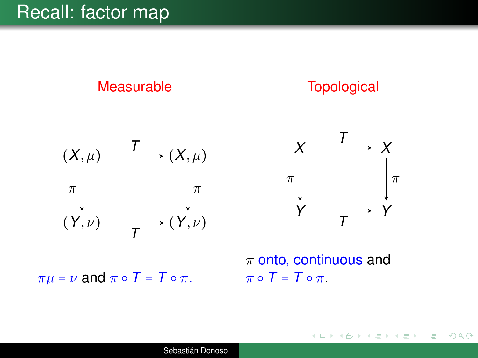### Recall: factor map



**Topological** 





イロト イ押 トイヨ トイヨト

 $299$ 

E

 $\pi \mu = \nu$  and  $\pi \circ T = T \circ \pi$ .

 $\pi$  onto, continuous and  $\pi \circ T = T \circ \pi$ .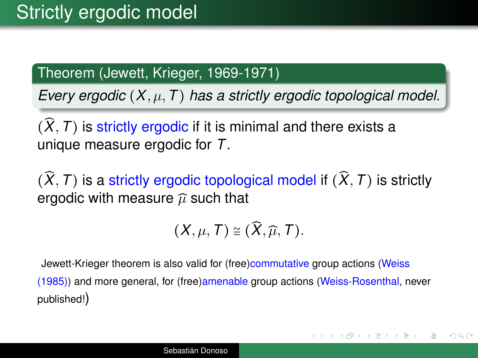### Theorem (Jewett, Krieger, 1969-1971)

*Every ergodic* (*X*, µ,*T*) *has a strictly ergodic topological model.*

 $(\widehat{X}, T)$  is strictly ergodic if it is minimal and there exists a unique measure ergodic for *T*.

 $(\widehat{X}, T)$  is a strictly ergodic topological model if  $(\widehat{X}, T)$  is strictly ergodic with measure  $\widehat{\mu}$  such that

$$
(X,\mu,T)\cong(\widehat{X},\widehat{\mu},T).
$$

Jewett-Krieger theorem is also valid for (free)commutative group actions (Weiss (1985)) and more general, for (free)amenable group actions (Weiss-Rosenthal, never published!)

 $(1,1)$   $(1,1)$   $(1,1)$   $(1,1)$   $(1,1)$   $(1,1)$   $(1,1)$   $(1,1)$   $(1,1)$   $(1,1)$ 

 $2QQ$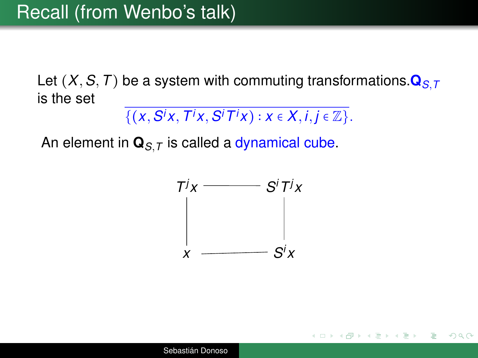Let  $(X, S, T)$  be a system with commuting transformations.  $\mathbf{Q}_{S,T}$ is the set

$$
\{(x, S^ix, T^ix, S^iT^ix): x \in X, i,j \in \mathbb{Z}\}.
$$

An element in  $\mathbf{Q}_{S,T}$  is called a dynamical cube.



モロメ イ団 メイヨメイヨメーヨ

 $QQQ$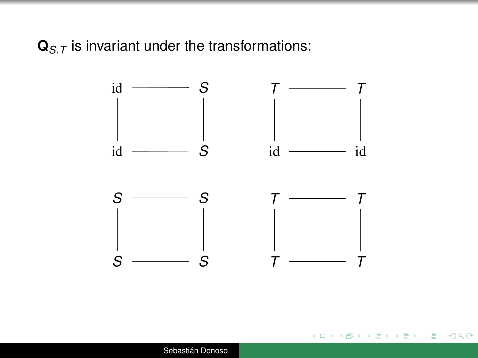$\mathbf{Q}_{S,T}$  is invariant under the transformations:



イロト イ押 トイヨ トイヨ トー

<span id="page-20-0"></span>÷.  $2990$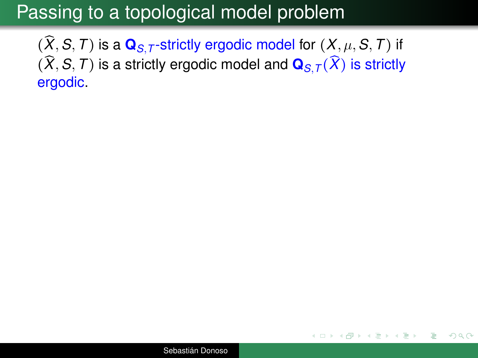## Passing to a topological model problem

 $(\widehat{X}, S, T)$  is a  $\mathbf{Q}_{S,T}$ -strictly ergodic model for  $(X, \mu, S, T)$  if  $(\widehat{X}, S, T)$  is a strictly ergodic model and  $\mathbf{Q}_{S,T}(\widehat{X})$  is strictly ergodic.

イロト イ押 トイヨ トイヨ トー

<span id="page-21-0"></span> $QQQ$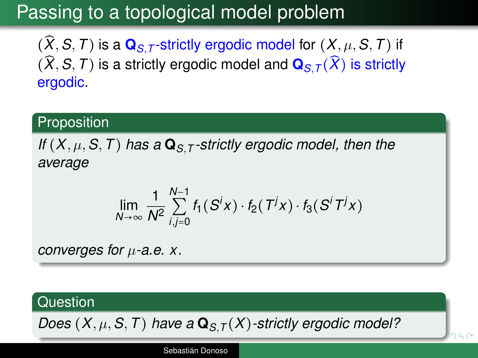# Passing to a topological model problem

 $(\widehat{X}, S, T)$  is a  $\mathbf{Q}_{S,T}$ -strictly ergodic model for  $(X, \mu, S, T)$  if  $(\widehat{X}, S, T)$  is a strictly ergodic model and  $\mathbf{Q}_{S,T}(\widehat{X})$  is strictly ergodic.

#### **Proposition**

*If* (*X*, µ,*S*,*T*) *has a* **Q***S*,*<sup>T</sup> -strictly ergodic model, then the average*

$$
\lim_{N\to\infty}\frac{1}{N^2}\sum_{i,j=0}^{N-1}f_1(S^ix)\cdot f_2(T^jx)\cdot f_3(S^iT^jx)
$$

*converges for* µ*-a.e. x.*

### **Question**

*Does* $(X, \mu, S, T)$  $(X, \mu, S, T)$  $(X, \mu, S, T)$  *have a*  $\mathbf{Q}_{S,T}(X)$ *-strictly [erg](#page-21-0)[od](#page-0-0)[i](#page-20-0)[c](#page-21-0) mod[el](#page-40-0)[?](#page-0-0)* 

<span id="page-22-0"></span>han

Sebastián Donoso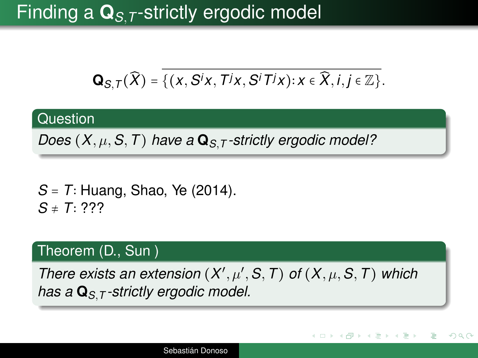# Finding a **Q***S*,*<sup>T</sup>* -strictly ergodic model

$$
\mathbf{Q}_{S,T}(\widehat{X}) = \{ (x, S^i x, T^j x, S^i T^j x) : x \in \widehat{X}, i, j \in \mathbb{Z} \}.
$$

#### **Question**

*Does* (*X*, µ,*S*,*T*) *have a* **Q***S*,*<sup>T</sup> -strictly ergodic model?*

*S* = *T*∶ Huang, Shao, Ye (2014). *S* ≠ *T*∶ ???

#### Theorem (D., Sun )

*There exists an extension*  $(X', \mu', S, T)$  *of*  $(X, \mu, S, T)$  *which has a* **Q***S*,*<sup>T</sup> -strictly ergodic model.*

イロト イ押 トイヨ トイヨト

<span id="page-23-0"></span> $QQQ$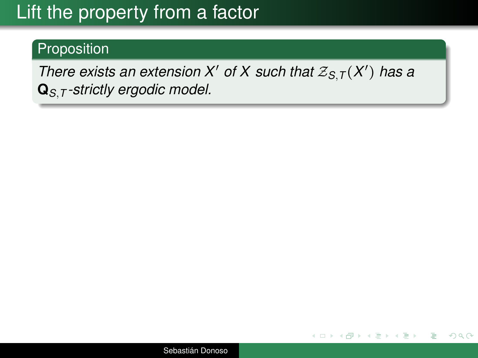# Lift the property from a factor

### Proposition

*There exists an extension X' of X such that*  $\mathcal{Z}_{S,T}(X')$  has a **Q***S*,*<sup>T</sup> -strictly ergodic model.*

イロト イ押 トイヨ トイヨ トー

G.

 $QQQ$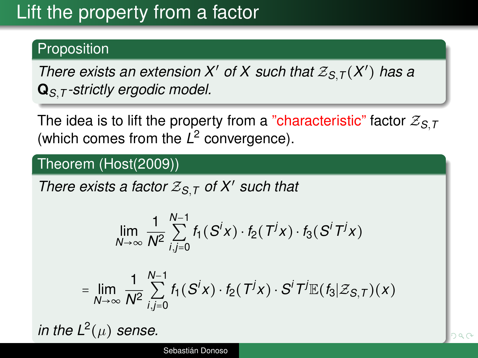# Lift the property from a factor

### Proposition

*There exists an extension X' of X such that*  $\mathcal{Z}_{S,T}(X')$  has a **Q***S*,*<sup>T</sup> -strictly ergodic model.*

The idea is to lift the property from a "characteristic" factor  $Z_{S,T}$ (which comes from the L<sup>2</sup> convergence).

#### Theorem (Host(2009))

*There exists a factor* Z*S*,*<sup>T</sup> of X*′ *such that*

$$
\lim_{N\to\infty}\frac{1}{N^2}\sum_{i,j=0}^{N-1}f_1(S^ix)\cdot f_2(T^jx)\cdot f_3(S^iT^jx)
$$

$$
= \lim_{N\to\infty}\frac{1}{N^2}\sum_{i,j=0}^{N-1}f_1(S^ix)\cdot f_2(T^jx)\cdot S^iT^j\mathbb{E}(f_3|\mathcal{Z}_{S,T})(x)
$$

*in the L*<sup>2</sup> $(\mu)$  *sense.*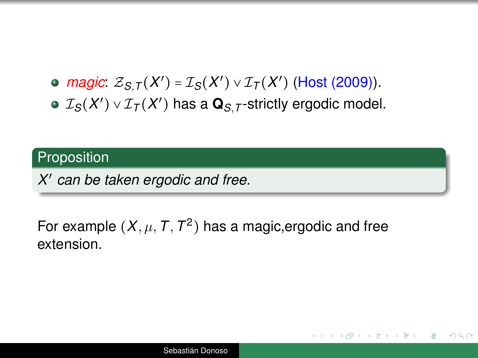*magic:*  $Z_{S,T}(X') = I_S(X') \vee I_T(X')$  (Host (2009)).  $\mathcal{I}_\mathcal{S}(X') \vee \mathcal{I}_\mathcal{T}(X')$  has a  $\mathbf{Q}_{S,\mathcal{T}}$ -strictly ergodic model.

#### **Proposition**

*X* ′ *can be taken ergodic and free.*

### For example  $(X, \mu, T, T^2)$  has a magic,ergodic and free extension.

イロト イ御 トイミト イミト ニヨー りなぐ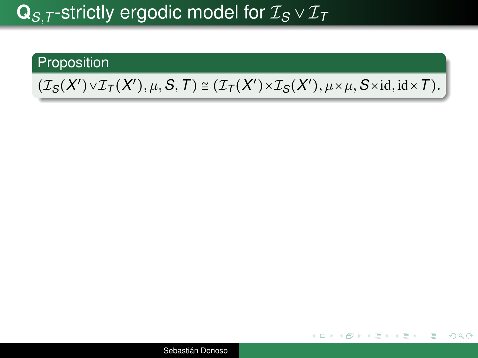# $\mathbf{Q}_{S,T}$ -strictly ergodic model for  $\mathcal{I}_S \vee \mathcal{I}_T$

#### Proposition

## $(\mathcal{I}_S(X') \vee \mathcal{I}_T(X'), \mu, S, T) \cong (\mathcal{I}_T(X') \times \mathcal{I}_S(X'), \mu \times \mu, S \times \text{id}, \text{id} \times T)$ .

Sebastián Donoso

K ロ ▶ K 何 ▶ K ヨ ▶ K ヨ ▶ │ ヨ │ Ю Q (V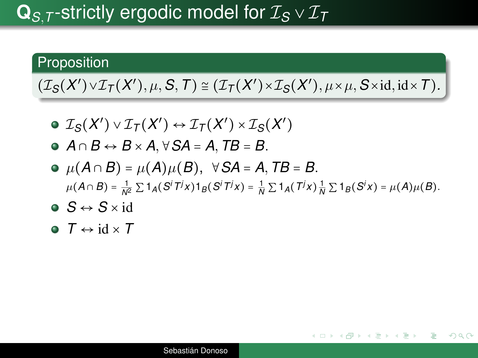# **Q***S*,*<sup>T</sup>* -strictly ergodic model for I*<sup>S</sup>* ∨ I*<sup>T</sup>*

#### **Proposition**

 $(\mathcal{I}_S(X') \vee \mathcal{I}_T(X'), \mu, S, T) \cong (\mathcal{I}_T(X') \times \mathcal{I}_S(X'), \mu \times \mu, S \times \text{id}, \text{id} \times T)$ .

- $\mathcal{I}_S(X') \vee \mathcal{I}_T(X') \leftrightarrow \mathcal{I}_T(X') \times \mathcal{I}_S(X')$
- *A* ∩ *B* ↔ *B* × *A*,∀*SA* = *A*,*TB* = *B*.
- $\bullet$   $\mu(A \cap B) = \mu(A) \mu(B)$ , ∀*SA* = *A*, *TB* = *B*.  $\mu(A \cap B) = \frac{1}{N^2} \sum 1_A (S^i T^j x) 1_B (S^i T^j x) = \frac{1}{N} \sum 1_A (T^j x) \frac{1}{N} \sum 1_B (S^i x) = \mu(A) \mu(B).$

K ロ ▶ K 御 ▶ K ヨ ▶ K ヨ ▶ ...

 $\Omega$ 

- $S \leftrightarrow S \times id$
- $\bullet$   $\tau \leftrightarrow \text{id} \times \tau$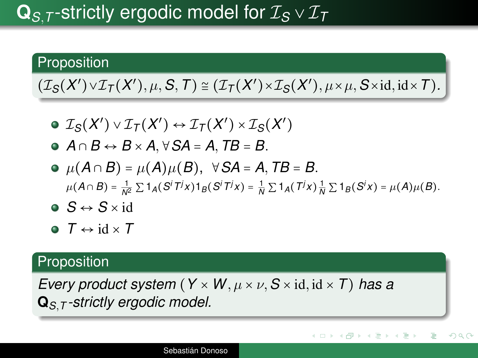# **Q***S*,*<sup>T</sup>* -strictly ergodic model for I*<sup>S</sup>* ∨ I*<sup>T</sup>*

#### **Proposition**

 $(\mathcal{I}_S(X') \vee \mathcal{I}_T(X'), \mu, S, T) \cong (\mathcal{I}_T(X') \times \mathcal{I}_S(X'), \mu \times \mu, S \times \text{id}, \text{id} \times T)$ .

- $\mathcal{I}_S(X') \vee \mathcal{I}_T(X') \leftrightarrow \mathcal{I}_T(X') \times \mathcal{I}_S(X')$
- *A* ∩ *B* ↔ *B* × *A*,∀*SA* = *A*,*TB* = *B*.
- $\bullet$   $\mu(A \cap B) = \mu(A) \mu(B)$ , ∀*SA* = *A*, *TB* = *B*.  $\mu(A \cap B) = \frac{1}{N^2} \sum 1_A (S^i T^j x) 1_B (S^i T^j x) = \frac{1}{N} \sum 1_A (T^j x) \frac{1}{N} \sum 1_B (S^i x) = \mu(A) \mu(B).$

イロト イ押 トイヨ トイヨ トー

 $2Q$ 

э

- $\bullet$   $S \leftrightarrow S \times id$
- $\bullet$  *T*  $\leftrightarrow$  id  $\times$  *T*

#### **Proposition**

*Every product system*  $(Y \times W, \mu \times \nu, S \times \text{id}, \text{id} \times T)$  has a **Q***S*,*<sup>T</sup> -strictly ergodic model.*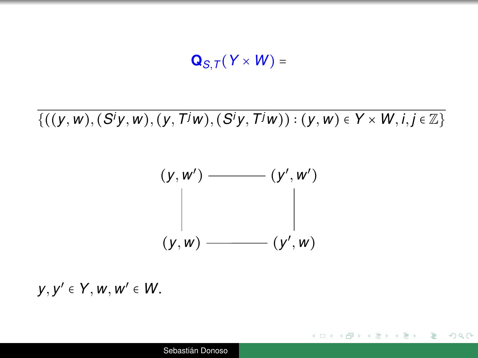$\mathbf{Q}_{S,T}(Y \times W) =$ 

 ${( (y, w), (S<sup>i</sup>y, w), (y, T<sup>j</sup>w), (S<sup>i</sup>y, T<sup>j</sup>w)) : (y, w) ∈ Y × W, i, j ∈ Z}$ 

$$
(y, w') \longrightarrow (y', w') \longrightarrow (y', w')
$$
\n
$$
(y, w) \longrightarrow (y', w)
$$

KED KAP KED KED E YORA

*y*, *y* ′ ∈ *Y*, *w*, *w* ′ ∈ *W*.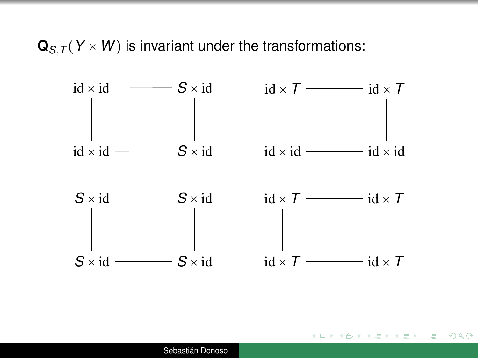$\mathbf{Q}_{S,T}(Y \times W)$  is invariant under the transformations:



イロン イ押ン イミン イヨン・ヨー

 $QQQ$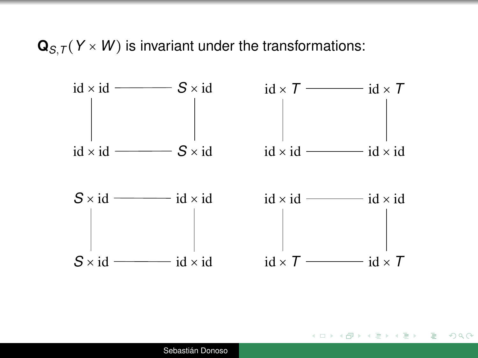$\mathbf{Q}_{S,T}(Y \times W)$  is invariant under the transformations:



イロト イ押 トイヨ トイヨ トー

重い  $QQQ$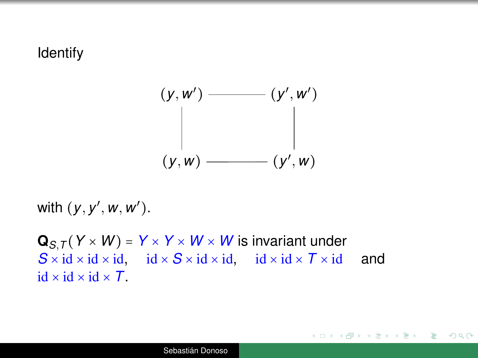#### Identify



with (*y*, *y* ′ , *w*, *w* ′ ).

 $Q_{S,T}(Y \times W) = Y \times Y \times W \times W$  is invariant under  $S \times id \times id \times id$ ,  $id \times S \times id \times id$ ,  $id \times id \times T \times id$  and id  $\times$  id  $\times$  id  $\times$   $\overline{I}$ .

K ロ ▶ K 御 ▶ K ヨ ▶ K ヨ ▶ ...

重い  $QQQ$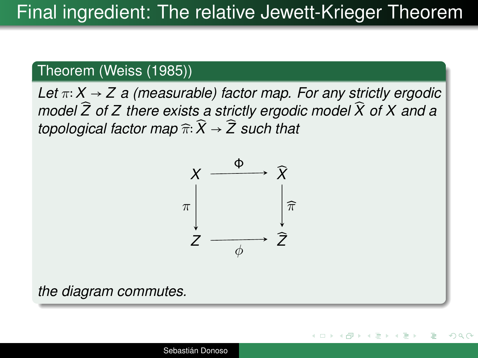#### Theorem (Weiss (1985))

*Let* π∶*X* → *Z a (measurable) factor map. For any strictly ergodic model*  $\widehat{Z}$  of  $Z$  there exists a strictly ergodic model  $\widehat{X}$  of  $X$  and a *topological factor map*  $\widehat{\pi}$ :  $\widehat{X}$   $\rightarrow$   $\widehat{Z}$  *such that* 



K ロ ⊁ K 伊 ⊁ K ヨ ⊁ K

つくい

*the diagram commutes.*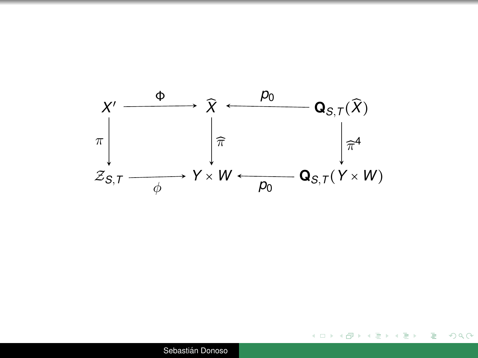

イロメイ部 メイモメイモメー

÷.

 $299$ 

Sebastián Donoso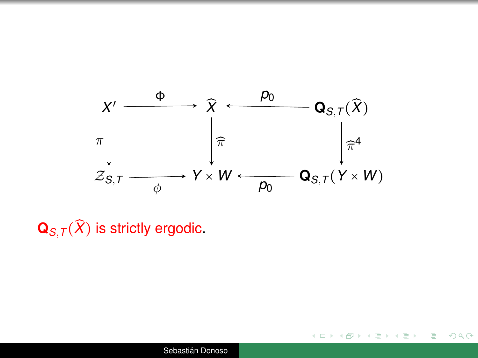

 $299$ 

G.

イロト イ伊 トイヨ トイヨト

 $\mathbf{Q}_{S,T}(\widehat{X})$  is strictly ergodic.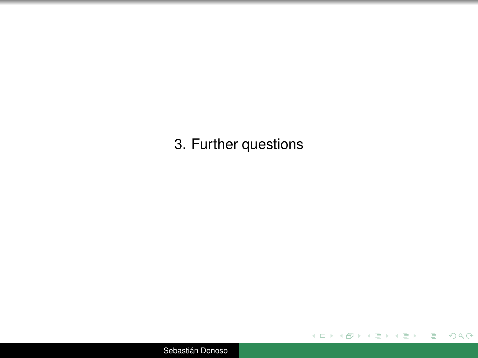3. Further questions

イロト イ部 トイモト イモトー

 $\equiv$  990

Sebastián Donoso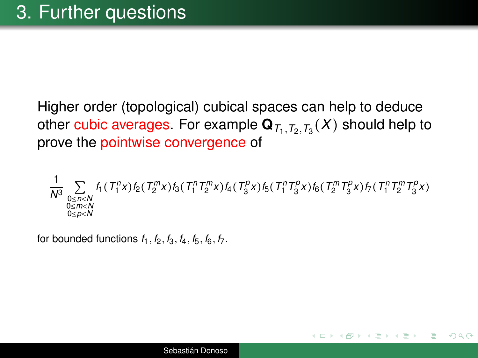Higher order (topological) cubical spaces can help to deduce other cubic averages. For example  $\mathbf{Q}_{\mathcal{T}_1,\mathcal{T}_2,\mathcal{T}_3}(X)$  should help to prove the pointwise convergence of

$$
\frac{1}{N^3}\sum_{\substack{0\leq n< N\\0\leq m< N\\0\leq p< N}}f_1(T_1^n x)f_2(T_2^mx)f_3(T_1^n T_2^mx)f_4(T_3^px)f_5(T_1^n T_3^px)f_6(T_2^m T_3^px)f_7(T_1^n T_2^m T_3^px)
$$

 $2Q$ 

for bounded functions  $f_1$ ,  $f_2$ ,  $f_3$ ,  $f_4$ ,  $f_5$ ,  $f_6$ ,  $f_7$ .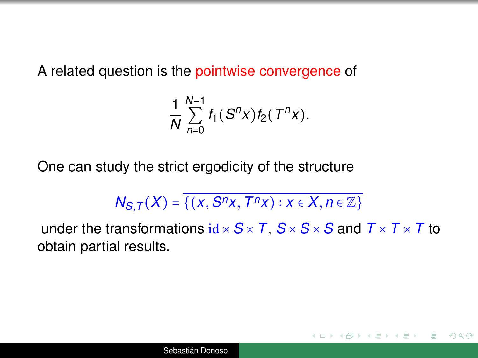A related question is the pointwise convergence of

$$
\frac{1}{N}\sum_{n=0}^{N-1}f_1(S^n x)f_2(T^n x).
$$

One can study the strict ergodicity of the structure

$$
N_{S,T}(X)=\overline{\{(x,S^{n}x,T^{n}x):x\in X,n\in\mathbb{Z}\}}
$$

under the transformations  $id \times S \times T$ ,  $S \times S \times S$  and  $T \times T \times T$  to obtain partial results.

 $QQQ$